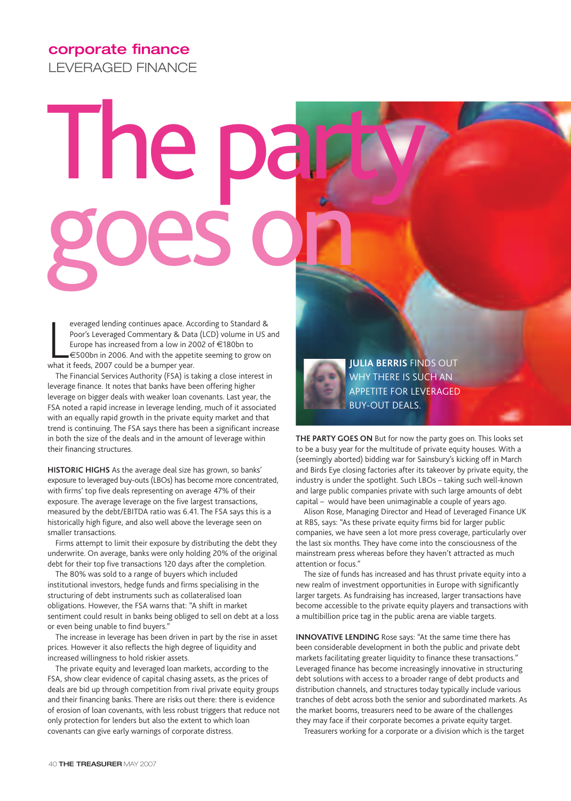## **corporate finance**

LEVERAGED FINANCE

## Ine goes on

everaged lending continues apace. Acc<br>Poor's Leveraged Commentary & Data<br>Europe has increased from a low in 20<br>€500bn in 2006. And with the appeti<br>what it feeds, 2007 could be a bumper year. everaged lending continues apace. According to Standard & Poor's Leveraged Commentary & Data (LCD) volume in US and Europe has increased from a low in 2002 of €180bn to €500bn in 2006. And with the appetite seeming to grow on

The Financial Services Authority (FSA) is taking a close interest in leverage finance. It notes that banks have been offering higher leverage on bigger deals with weaker loan covenants. Last year, the FSA noted a rapid increase in leverage lending, much of it associated with an equally rapid growth in the private equity market and that trend is continuing. The FSA says there has been a significant increase in both the size of the deals and in the amount of leverage within their financing structures.

**HISTORIC HIGHS** As the average deal size has grown, so banks' exposure to leveraged buy-outs (LBOs) has become more concentrated, with firms' top five deals representing on average 47% of their exposure. The average leverage on the five largest transactions, measured by the debt/EBITDA ratio was 6.41. The FSA says this is a historically high figure, and also well above the leverage seen on smaller transactions.

Firms attempt to limit their exposure by distributing the debt they underwrite. On average, banks were only holding 20% of the original debt for their top five transactions 120 days after the completion.

The 80% was sold to a range of buyers which included institutional investors, hedge funds and firms specialising in the structuring of debt instruments such as collateralised loan obligations. However, the FSA warns that: "A shift in market sentiment could result in banks being obliged to sell on debt at a loss or even being unable to find buyers."

The increase in leverage has been driven in part by the rise in asset prices. However it also reflects the high degree of liquidity and increased willingness to hold riskier assets.

The private equity and leveraged loan markets, according to the FSA, show clear evidence of capital chasing assets, as the prices of deals are bid up through competition from rival private equity groups and their financing banks. There are risks out there: there is evidence of erosion of loan covenants, with less robust triggers that reduce not only protection for lenders but also the extent to which loan covenants can give early warnings of corporate distress.



**JULIA BERRIS** FINDS OUT WHY THERE IS SUCH AN APPETITE FOR LEVERAGED BUY-OUT DEALS.

**THE PARTY GOES ON** But for now the party goes on. This looks set to be a busy year for the multitude of private equity houses. With a (seemingly aborted) bidding war for Sainsbury's kicking off in March and Birds Eye closing factories after its takeover by private equity, the industry is under the spotlight. Such LBOs – taking such well-known and large public companies private with such large amounts of debt capital – would have been unimaginable a couple of years ago.

Alison Rose, Managing Director and Head of Leveraged Finance UK at RBS, says: "As these private equity firms bid for larger public companies, we have seen a lot more press coverage, particularly over the last six months. They have come into the consciousness of the mainstream press whereas before they haven't attracted as much attention or focus."

The size of funds has increased and has thrust private equity into a new realm of investment opportunities in Europe with significantly larger targets. As fundraising has increased, larger transactions have become accessible to the private equity players and transactions with a multibillion price tag in the public arena are viable targets.

**INNOVATIVE LENDING** Rose says: "At the same time there has been considerable development in both the public and private debt markets facilitating greater liquidity to finance these transactions." Leveraged finance has become increasingly innovative in structuring debt solutions with access to a broader range of debt products and distribution channels, and structures today typically include various tranches of debt across both the senior and subordinated markets. As the market booms, treasurers need to be aware of the challenges they may face if their corporate becomes a private equity target.

Treasurers working for a corporate or a division which is the target